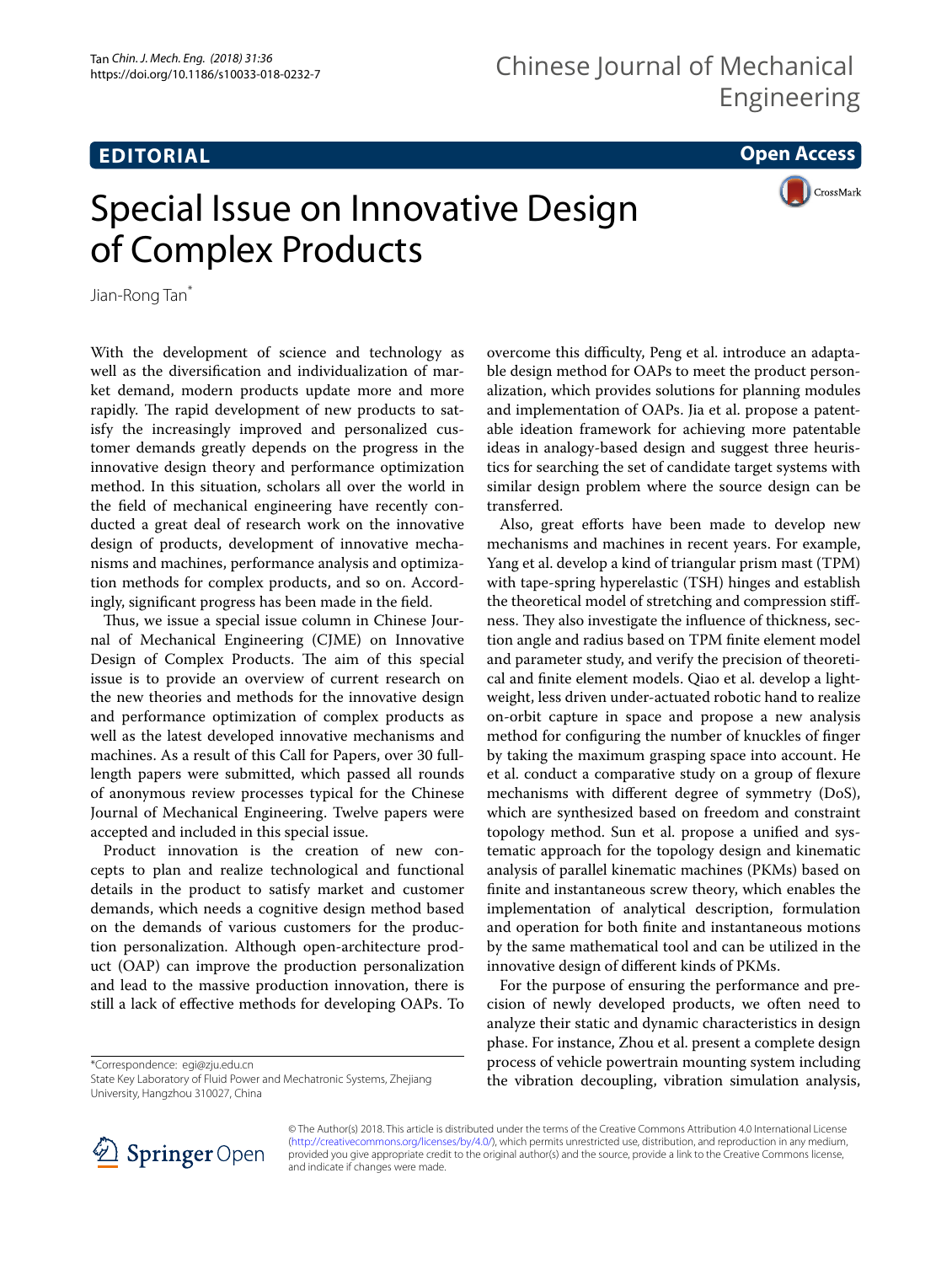## **EDITORIAL**

**Open Access**

# Special Issue on Innovative Design of Complex Products

CrossMark

Jian-Rong Tan<sup>\*</sup>

With the development of science and technology as well as the diversifcation and individualization of market demand, modern products update more and more rapidly. The rapid development of new products to satisfy the increasingly improved and personalized customer demands greatly depends on the progress in the innovative design theory and performance optimization method. In this situation, scholars all over the world in the feld of mechanical engineering have recently conducted a great deal of research work on the innovative design of products, development of innovative mechanisms and machines, performance analysis and optimization methods for complex products, and so on. Accordingly, signifcant progress has been made in the feld.

Thus, we issue a special issue column in Chinese Journal of Mechanical Engineering (CJME) on Innovative Design of Complex Products. The aim of this special issue is to provide an overview of current research on the new theories and methods for the innovative design and performance optimization of complex products as well as the latest developed innovative mechanisms and machines. As a result of this Call for Papers, over 30 fulllength papers were submitted, which passed all rounds of anonymous review processes typical for the Chinese Journal of Mechanical Engineering. Twelve papers were accepted and included in this special issue.

Product innovation is the creation of new concepts to plan and realize technological and functional details in the product to satisfy market and customer demands, which needs a cognitive design method based on the demands of various customers for the production personalization. Although open-architecture product (OAP) can improve the production personalization and lead to the massive production innovation, there is still a lack of efective methods for developing OAPs. To

\*Correspondence: egi@zju.edu.cn

State Key Laboratory of Fluid Power and Mechatronic Systems, Zhejiang University, Hangzhou 310027, China

overcome this difficulty, Peng et al. introduce an adaptable design method for OAPs to meet the product personalization, which provides solutions for planning modules and implementation of OAPs. Jia et al. propose a patentable ideation framework for achieving more patentable ideas in analogy-based design and suggest three heuristics for searching the set of candidate target systems with similar design problem where the source design can be transferred.

Also, great efforts have been made to develop new mechanisms and machines in recent years. For example, Yang et al. develop a kind of triangular prism mast (TPM) with tape-spring hyperelastic (TSH) hinges and establish the theoretical model of stretching and compression stifness. They also investigate the influence of thickness, section angle and radius based on TPM fnite element model and parameter study, and verify the precision of theoretical and fnite element models. Qiao et al. develop a lightweight, less driven under-actuated robotic hand to realize on-orbit capture in space and propose a new analysis method for confguring the number of knuckles of fnger by taking the maximum grasping space into account. He et al. conduct a comparative study on a group of fexure mechanisms with diferent degree of symmetry (DoS), which are synthesized based on freedom and constraint topology method. Sun et al. propose a unifed and systematic approach for the topology design and kinematic analysis of parallel kinematic machines (PKMs) based on fnite and instantaneous screw theory, which enables the implementation of analytical description, formulation and operation for both fnite and instantaneous motions by the same mathematical tool and can be utilized in the innovative design of diferent kinds of PKMs.

For the purpose of ensuring the performance and precision of newly developed products, we often need to analyze their static and dynamic characteristics in design phase. For instance, Zhou et al. present a complete design process of vehicle powertrain mounting system including the vibration decoupling, vibration simulation analysis,



© The Author(s) 2018. This article is distributed under the terms of the Creative Commons Attribution 4.0 International License [\(http://creativecommons.org/licenses/by/4.0/\)](http://creativecommons.org/licenses/by/4.0/), which permits unrestricted use, distribution, and reproduction in any medium, provided you give appropriate credit to the original author(s) and the source, provide a link to the Creative Commons license, and indicate if changes were made.